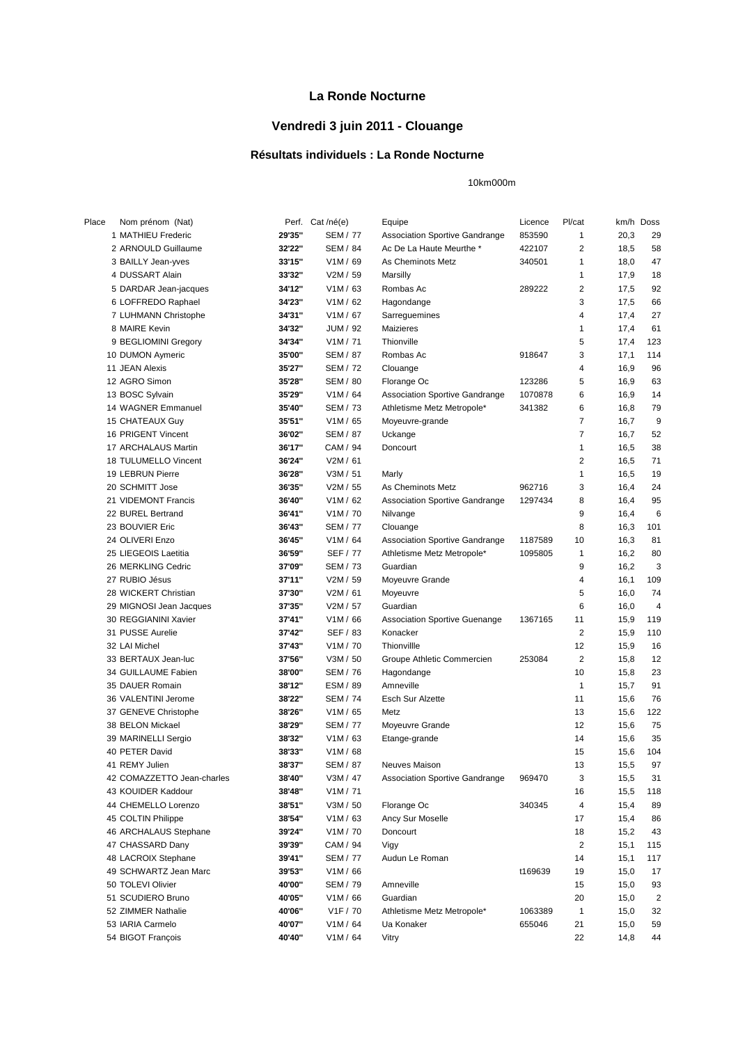## **La Ronde Nocturne**

## **Vendredi 3 juin 2011 - Clouange**

## **Résultats individuels : La Ronde Nocturne**

10km000m

| Place | Nom prénom (Nat)           |        | Perf. Cat /né(e)      | Equipe                                | Licence | Pl/cat         |      | km/h Doss               |
|-------|----------------------------|--------|-----------------------|---------------------------------------|---------|----------------|------|-------------------------|
|       | 1 MATHIEU Frederic         | 29'35" | <b>SEM / 77</b>       | <b>Association Sportive Gandrange</b> | 853590  | 1              | 20,3 | 29                      |
|       | 2 ARNOULD Guillaume        | 32'22" | <b>SEM / 84</b>       | Ac De La Haute Meurthe *              | 422107  | 2              | 18,5 | 58                      |
|       | 3 BAILLY Jean-yves         | 33'15" | V1M / 69              | As Cheminots Metz                     | 340501  | 1              | 18,0 | 47                      |
|       | 4 DUSSART Alain            | 33'32" | V2M / 59              | Marsilly                              |         | 1              | 17,9 | 18                      |
|       | 5 DARDAR Jean-jacques      | 34'12" | V1M / 63              | Rombas Ac                             | 289222  | 2              | 17,5 | 92                      |
|       | 6 LOFFREDO Raphael         | 34'23" | V1M / 62              | Hagondange                            |         | 3              | 17,5 | 66                      |
|       | 7 LUHMANN Christophe       | 34'31" | V1M / 67              | Sarreguemines                         |         | 4              | 17,4 | 27                      |
|       | 8 MAIRE Kevin              | 34'32" | JUM / 92              | <b>Maizieres</b>                      |         | 1              | 17,4 | 61                      |
|       | 9 BEGLIOMINI Gregory       | 34'34" | V1M / 71              | Thionville                            |         | 5              | 17,4 | 123                     |
|       | 10 DUMON Aymeric           | 35'00" | <b>SEM / 87</b>       | Rombas Ac                             | 918647  | 3              | 17,1 | 114                     |
|       | 11 JEAN Alexis             | 35'27" | <b>SEM / 72</b>       | Clouange                              |         | 4              | 16,9 | 96                      |
|       | 12 AGRO Simon              | 35'28" | <b>SEM / 80</b>       | Florange Oc                           | 123286  | 5              | 16,9 | 63                      |
|       | 13 BOSC Sylvain            | 35'29" | V1M/64                | <b>Association Sportive Gandrange</b> | 1070878 | 6              | 16,9 | 14                      |
|       | 14 WAGNER Emmanuel         | 35'40" | <b>SEM / 73</b>       | Athletisme Metz Metropole*            | 341382  | 6              | 16,8 | 79                      |
|       | 15 CHATEAUX Guy            | 35'51" | V1M / 65              | Moyeuvre-grande                       |         | 7              | 16,7 | 9                       |
|       | 16 PRIGENT Vincent         | 36'02" | <b>SEM / 87</b>       | Uckange                               |         | $\overline{7}$ | 16,7 | 52                      |
|       | 17 ARCHALAUS Martin        | 36'17" | CAM / 94              | Doncourt                              |         | 1              | 16,5 | 38                      |
|       | 18 TULUMELLO Vincent       | 36'24" | V2M / 61              |                                       |         | 2              | 16,5 | 71                      |
|       | 19 LEBRUN Pierre           | 36'28" | V3M / 51              | Marly                                 |         | 1              | 16,5 | 19                      |
|       | 20 SCHMITT Jose            | 36'35" | V2M / 55              | As Cheminots Metz                     | 962716  | 3              | 16,4 | 24                      |
|       | 21 VIDEMONT Francis        | 36'40" | V1M / 62              | <b>Association Sportive Gandrange</b> | 1297434 | 8              | 16,4 | 95                      |
|       | 22 BUREL Bertrand          | 36'41" | V <sub>1</sub> M / 70 | Nilvange                              |         | 9              | 16,4 | 6                       |
|       | 23 BOUVIER Eric            | 36'43" | <b>SEM / 77</b>       | Clouange                              |         | 8              | 16,3 | 101                     |
|       | 24 OLIVERI Enzo            | 36'45" | V1M / 64              | <b>Association Sportive Gandrange</b> | 1187589 | 10             | 16,3 | 81                      |
|       | 25 LIEGEOIS Laetitia       | 36'59" | SEF / 77              | Athletisme Metz Metropole*            | 1095805 | 1              | 16,2 | 80                      |
|       | 26 MERKLING Cedric         | 37'09" | <b>SEM / 73</b>       | Guardian                              |         | 9              | 16,2 | 3                       |
|       | 27 RUBIO Jésus             | 37'11" | V2M / 59              | Moyeuvre Grande                       |         | 4              | 16,1 | 109                     |
|       | 28 WICKERT Christian       | 37'30" | V2M / 61              | Moyeuvre                              |         | 5              | 16,0 | 74                      |
|       | 29 MIGNOSI Jean Jacques    | 37'35" | V2M / 57              | Guardian                              |         | 6              | 16,0 | 4                       |
|       | 30 REGGIANINI Xavier       | 37'41" | V1M / 66              | <b>Association Sportive Guenange</b>  | 1367165 | 11             | 15,9 | 119                     |
|       | 31 PUSSE Aurelie           | 37'42" | SEF / 83              | Konacker                              |         | 2              | 15,9 | 110                     |
|       | 32 LAI Michel              | 37'43" | V1M / 70              | Thionvillle                           |         | 12             | 15,9 | 16                      |
|       | 33 BERTAUX Jean-luc        | 37'56" | V3M / 50              | Groupe Athletic Commercien            | 253084  | $\overline{2}$ | 15,8 | 12                      |
|       | 34 GUILLAUME Fabien        | 38'00" | <b>SEM / 76</b>       | Hagondange                            |         | 10             | 15,8 | 23                      |
|       | 35 DAUER Romain            | 38'12" | ESM / 89              | Amneville                             |         | 1              | 15,7 | 91                      |
|       | 36 VALENTINI Jerome        | 38'22" | <b>SEM / 74</b>       | <b>Esch Sur Alzette</b>               |         | 11             | 15,6 | 76                      |
|       | 37 GENEVE Christophe       | 38'26" | V1M / 65              | Metz                                  |         | 13             | 15,6 | 122                     |
|       | 38 BELON Mickael           | 38'29" | <b>SEM / 77</b>       | Moyeuvre Grande                       |         | 12             | 15,6 | 75                      |
|       | 39 MARINELLI Sergio        | 38'32" | V1M / 63              | Etange-grande                         |         | 14             | 15,6 | 35                      |
|       | 40 PETER David             | 38'33" | V1M / 68              |                                       |         | 15             | 15,6 | 104                     |
|       | 41 REMY Julien             | 38'37" | SEM / 87              | Neuves Maison                         |         | 13             | 15,5 | 97                      |
|       | 42 COMAZZETTO Jean-charles | 38'40" | V3M / 47              | <b>Association Sportive Gandrange</b> | 969470  | 3              | 15,5 | 31                      |
|       | 43 KOUIDER Kaddour         | 38'48" | V1M / 71              |                                       |         | 16             | 15,5 | 118                     |
|       | 44 CHEMELLO Lorenzo        | 38'51" | V3M / 50              | Florange Oc                           | 340345  | 4              | 15,4 | 89                      |
|       | 45 COLTIN Philippe         | 38'54" | V1M / 63              | Ancy Sur Moselle                      |         | 17             | 15,4 | 86                      |
|       | 46 ARCHALAUS Stephane      | 39'24" | V1M / 70              | Doncourt                              |         | 18             | 15,2 | 43                      |
|       | 47 CHASSARD Dany           | 39'39" | CAM / 94              | Vigy                                  |         | 2              | 15,1 | 115                     |
|       | 48 LACROIX Stephane        | 39'41" | SEM / 77              | Audun Le Roman                        |         | 14             | 15,1 | 117                     |
|       | 49 SCHWARTZ Jean Marc      | 39'53" | V1M / 66              |                                       | t169639 | 19             | 15,0 | 17                      |
|       | 50 TOLEVI Olivier          | 40'00" | SEM / 79              | Amneville                             |         | 15             | 15,0 | 93                      |
|       | 51 SCUDIERO Bruno          | 40'05" | V1M / 66              | Guardian                              |         | 20             | 15,0 | $\overline{\mathbf{c}}$ |
|       | 52 ZIMMER Nathalie         | 40'06" | V1F / 70              | Athletisme Metz Metropole*            | 1063389 | 1              | 15,0 | 32                      |
|       | 53 IARIA Carmelo           | 40'07" | V1M / 64              | Ua Konaker                            | 655046  | 21             | 15,0 | 59                      |
|       | 54 BIGOT François          | 40'40" | V1M / 64              | Vitry                                 |         | 22             | 14,8 | 44                      |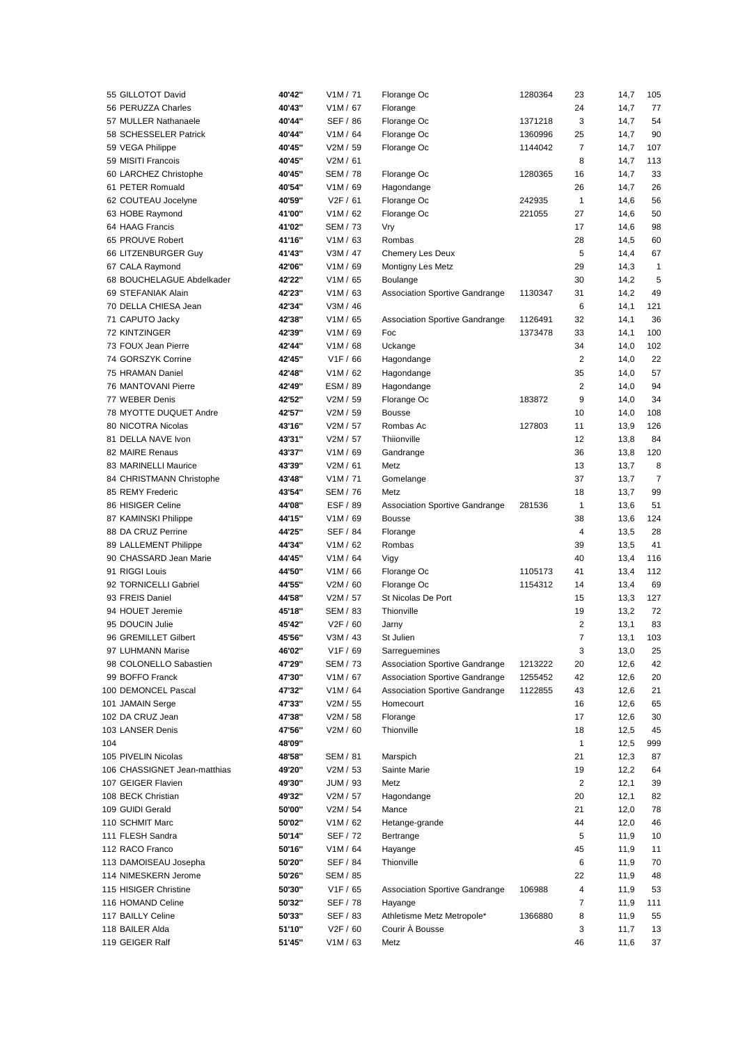| 55 GILLOTOT David            | 40'42" | V1M / 71              | Florange Oc                           | 1280364 | 23             | 14,7         | 105            |
|------------------------------|--------|-----------------------|---------------------------------------|---------|----------------|--------------|----------------|
| 56 PERUZZA Charles           | 40'43" | V1M / 67              | Florange                              |         | 24             | 14,7         | 77             |
| 57 MULLER Nathanaele         | 40'44" | <b>SEF / 86</b>       | Florange Oc                           | 1371218 | 3              | 14,7         | 54             |
| 58 SCHESSELER Patrick        | 40'44" | V1M / 64              | Florange Oc                           | 1360996 | 25             | 14,7         | 90             |
| 59 VEGA Philippe             | 40'45" | V2M / 59              | Florange Oc                           | 1144042 | 7              | 14,7         | 107            |
| 59 MISITI Francois           | 40'45" | V2M / 61              |                                       |         | 8              | 14,7         | 113            |
| 60 LARCHEZ Christophe        | 40'45" | <b>SEM / 78</b>       | Florange Oc                           | 1280365 | 16             | 14,7         | 33             |
| 61 PETER Romuald             | 40'54" | V1M / 69              | Hagondange                            |         | 26             | 14,7         | 26             |
| 62 COUTEAU Jocelyne          | 40'59" | V <sub>2</sub> F / 61 | Florange Oc                           | 242935  | $\mathbf{1}$   | 14,6         | 56             |
| 63 HOBE Raymond              | 41'00" | V1M / 62              | Florange Oc                           | 221055  | 27             | 14,6         | 50             |
| 64 HAAG Francis              | 41'02" | <b>SEM / 73</b>       | Vry                                   |         | 17             | 14,6         | 98             |
| 65 PROUVE Robert             | 41'16" | V1M / 63              | Rombas                                |         | 28             | 14,5         | 60             |
| 66 LITZENBURGER Guy          | 41'43" | V3M / 47              | <b>Chemery Les Deux</b>               |         | 5              | 14,4         | 67             |
| 67 CALA Raymond              | 42'06" | V1M / 69              | Montigny Les Metz                     |         | 29             | 14,3         | $\mathbf{1}$   |
| 68 BOUCHELAGUE Abdelkader    | 42'22" | V1M / 65              | <b>Boulange</b>                       |         | 30             | 14,2         | 5              |
| 69 STEFANIAK Alain           | 42'23" | V1M / 63              | <b>Association Sportive Gandrange</b> | 1130347 | 31             | 14,2         | 49             |
| 70 DELLA CHIESA Jean         | 42'34" | V3M / 46              |                                       |         | 6              | 14,1         | 121            |
| 71 CAPUTO Jacky              | 42'38" | V1M / 65              | <b>Association Sportive Gandrange</b> | 1126491 | 32             | 14,1         | 36             |
| <b>72 KINTZINGER</b>         | 42'39" | V1M / 69              | Foc                                   | 1373478 | 33             | 14,1         | 100            |
| 73 FOUX Jean Pierre          | 42'44" | V1M / 68              | Uckange                               |         | 34             | 14,0         | 102            |
| 74 GORSZYK Corrine           | 42'45" | V1F/66                | Hagondange                            |         | 2              | 14,0         | 22             |
| 75 HRAMAN Daniel             | 42'48" | V1M / 62              | Hagondange                            |         | 35             | 14,0         | 57             |
| 76 MANTOVANI Pierre          | 42'49" | ESM / 89              | Hagondange                            |         | 2              | 14,0         | 94             |
| 77 WEBER Denis               | 42'52" | V2M / 59              | Florange Oc                           | 183872  | 9              | 14,0         | 34             |
| 78 MYOTTE DUQUET Andre       | 42'57" | V2M / 59              | <b>Bousse</b>                         |         | 10             | 14,0         | 108            |
| 80 NICOTRA Nicolas           | 43'16" | V2M / 57              | Rombas Ac                             | 127803  | 11             | 13,9         | 126            |
| 81 DELLA NAVE Ivon           | 43'31" | V2M / 57              | Thiionville                           |         | 12             | 13,8         | 84             |
| 82 MAIRE Renaus              | 43'37" | V1M / 69              | Gandrange                             |         | 36             | 13,8         | 120            |
| 83 MARINELLI Maurice         | 43'39" | V2M / 61              | Metz                                  |         | 13             | 13,7         | 8              |
| 84 CHRISTMANN Christophe     | 43'48" | V1M / 71              | Gomelange                             |         | 37             | 13,7         | $\overline{7}$ |
| 85 REMY Frederic             | 43'54" | <b>SEM / 76</b>       | Metz                                  |         | 18             | 13,7         | 99             |
| 86 HISIGER Celine            | 44'08" | ESF / 89              | <b>Association Sportive Gandrange</b> | 281536  | 1              | 13,6         | 51             |
| 87 KAMINSKI Philippe         | 44'15" | V1M / 69              | <b>Bousse</b>                         |         | 38             | 13,6         | 124            |
| 88 DA CRUZ Perrine           | 44'25" | <b>SEF / 84</b>       | Florange                              |         | 4              | 13,5         | 28             |
| 89 LALLEMENT Philippe        | 44'34" | V1M / 62              | Rombas                                |         | 39             | 13,5         | 41             |
| 90 CHASSARD Jean Marie       | 44'45" | V1M / 64              | Vigy                                  |         | 40             | 13,4         | 116            |
| 91 RIGGI Louis               | 44'50" | V1M / 66              | Florange Oc                           | 1105173 | 41             | 13,4         | 112            |
| 92 TORNICELLI Gabriel        | 44'55" | V2M / 60              | Florange Oc                           | 1154312 | 14             | 13,4         | 69             |
| 93 FREIS Daniel              | 44'58" | V2M / 57              | St Nicolas De Port                    |         | 15             | 13,3         | 127            |
| 94 HOUET Jeremie             | 45'18" | <b>SEM / 83</b>       | Thionville                            |         | 19             | 13,2         | 72             |
| 95 DOUCIN Julie              | 45'42" | V <sub>2</sub> F / 60 | Jarny                                 |         | $\overline{2}$ | 13,1         | 83             |
| 96 GREMILLET Gilbert         | 45'56" | V3M / 43              | St Julien                             |         | $\overline{7}$ | 13,1         | 103            |
| 97 LUHMANN Marise            | 46'02" | V1F / 69              | Sarreguemines                         |         | 3              | 13,0         | 25             |
| 98 COLONELLO Sabastien       | 47'29" | SEM / 73              | Association Sportive Gandrange        | 1213222 | 20             | 12,6         | 42             |
| 99 BOFFO Franck              | 47'30" | V1M / 67              | <b>Association Sportive Gandrange</b> | 1255452 | 42             | 12,6         | 20             |
| 100 DEMONCEL Pascal          | 47'32" | V1M / 64              | <b>Association Sportive Gandrange</b> | 1122855 | 43             | 12,6         | 21             |
| 101 JAMAIN Serge             | 47'33" | V2M / 55              | Homecourt                             |         | 16             | 12,6         | 65             |
| 102 DA CRUZ Jean             | 47'38" | V2M / 58              | Florange                              |         | 17             | 12,6         | 30             |
| 103 LANSER Denis             | 47'56" | V2M / 60              | Thionville                            |         | 18             | 12,5         | 45             |
| 104                          | 48'09" |                       |                                       |         | 1              | 12,5         | 999            |
| 105 PIVELIN Nicolas          | 48'58" | <b>SEM / 81</b>       | Marspich                              |         | 21             | 12,3         | 87             |
| 106 CHASSIGNET Jean-matthias | 49'20" | V2M / 53              | Sainte Marie                          |         | 19             | 12,2         | 64             |
| 107 GEIGER Flavien           | 49'30" | JUM / 93              | Metz                                  |         | 2              | 12,1         | 39             |
| 108 BECK Christian           | 49'32" | V2M / 57              | Hagondange                            |         | 20             | 12,1         | 82             |
| 109 GUIDI Gerald             | 50'00" | V2M / 54              | Mance                                 |         | 21             | 12,0         | 78             |
| 110 SCHMIT Marc              | 50'02" | V1M / 62              | Hetange-grande                        |         | 44             | 12,0         | 46             |
| 111 FLESH Sandra             | 50'14" | SEF / 72              | Bertrange                             |         | 5              |              | 10             |
| 112 RACO Franco              | 50'16" | V1M / 64              | Hayange                               |         | 45             | 11,9<br>11,9 | 11             |
| 113 DAMOISEAU Josepha        | 50'20" | <b>SEF / 84</b>       | Thionville                            |         | 6              | 11,9         | 70             |
| 114 NIMESKERN Jerome         | 50'26" | <b>SEM / 85</b>       |                                       |         | 22             | 11,9         | 48             |
| 115 HISIGER Christine        | 50'30" | V1F / 65              | <b>Association Sportive Gandrange</b> | 106988  | 4              | 11,9         | 53             |
| 116 HOMAND Celine            | 50'32" | SEF / 78              | Hayange                               |         | 7              | 11,9         | 111            |
| 117 BAILLY Celine            | 50'33" | SEF / 83              | Athletisme Metz Metropole*            | 1366880 | 8              | 11,9         | 55             |
| 118 BAILER Alda              | 51'10" | V <sub>2</sub> F / 60 | Courir À Bousse                       |         | 3              | 11,7         | 13             |
| 119 GEIGER Ralf              | 51'45" |                       | Metz                                  |         | 46             |              |                |
|                              |        | V1M / 63              |                                       |         |                | 11,6         | 37             |